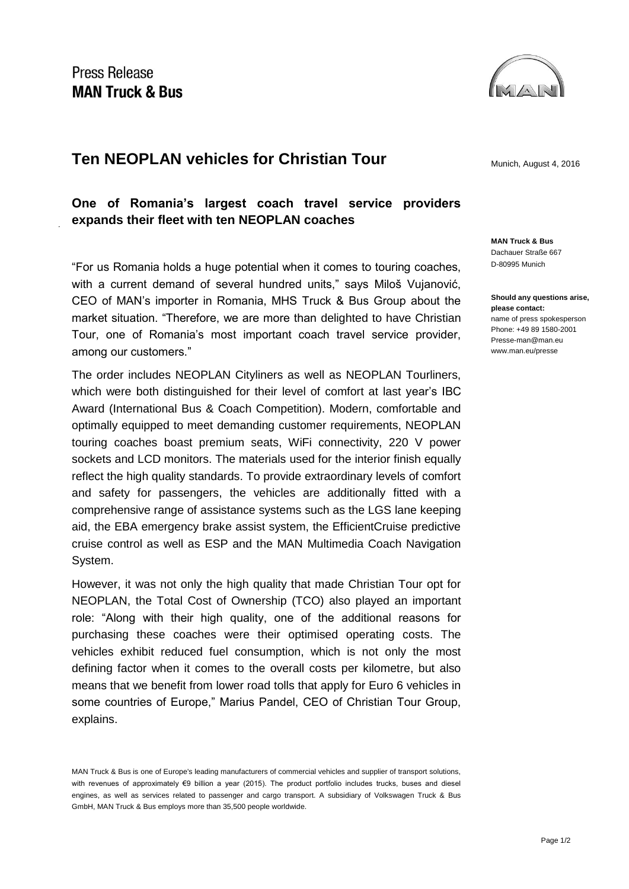## **Ten NEOPLAN vehicles for Christian Tour** Munich, August 4, 2016

**One of Romania's largest coach travel service providers expands their fleet with ten NEOPLAN coaches** 

"For us Romania holds a huge potential when it comes to touring coaches, with a current demand of several hundred units," says Miloš Vujanović, CEO of MAN's importer in Romania, MHS Truck & Bus Group about the market situation. "Therefore, we are more than delighted to have Christian Tour, one of Romania's most important coach travel service provider, among our customers."

The order includes NEOPLAN Cityliners as well as NEOPLAN Tourliners, which were both distinguished for their level of comfort at last year's IBC Award (International Bus & Coach Competition). Modern, comfortable and optimally equipped to meet demanding customer requirements, NEOPLAN touring coaches boast premium seats, WiFi connectivity, 220 V power sockets and LCD monitors. The materials used for the interior finish equally reflect the high quality standards. To provide extraordinary levels of comfort and safety for passengers, the vehicles are additionally fitted with a comprehensive range of assistance systems such as the LGS lane keeping aid, the EBA emergency brake assist system, the EfficientCruise predictive cruise control as well as ESP and the MAN Multimedia Coach Navigation System.

However, it was not only the high quality that made Christian Tour opt for NEOPLAN, the Total Cost of Ownership (TCO) also played an important role: "Along with their high quality, one of the additional reasons for purchasing these coaches were their optimised operating costs. The vehicles exhibit reduced fuel consumption, which is not only the most defining factor when it comes to the overall costs per kilometre, but also means that we benefit from lower road tolls that apply for Euro 6 vehicles in some countries of Europe," Marius Pandel, CEO of Christian Tour Group, explains.



**MAN Truck & Bus** Dachauer Straße 667 D-80995 Munich

**Should any questions arise, please contact:** name of press spokesperson Phone: +49 89 1580-2001 Presse-man@man.eu www.man.eu/presse

MAN Truck & Bus is one of Europe's leading manufacturers of commercial vehicles and supplier of transport solutions, with revenues of approximately €9 billion a year (2015). The product portfolio includes trucks, buses and diesel engines, as well as services related to passenger and cargo transport. A subsidiary of Volkswagen Truck & Bus GmbH, MAN Truck & Bus employs more than 35,500 people worldwide.